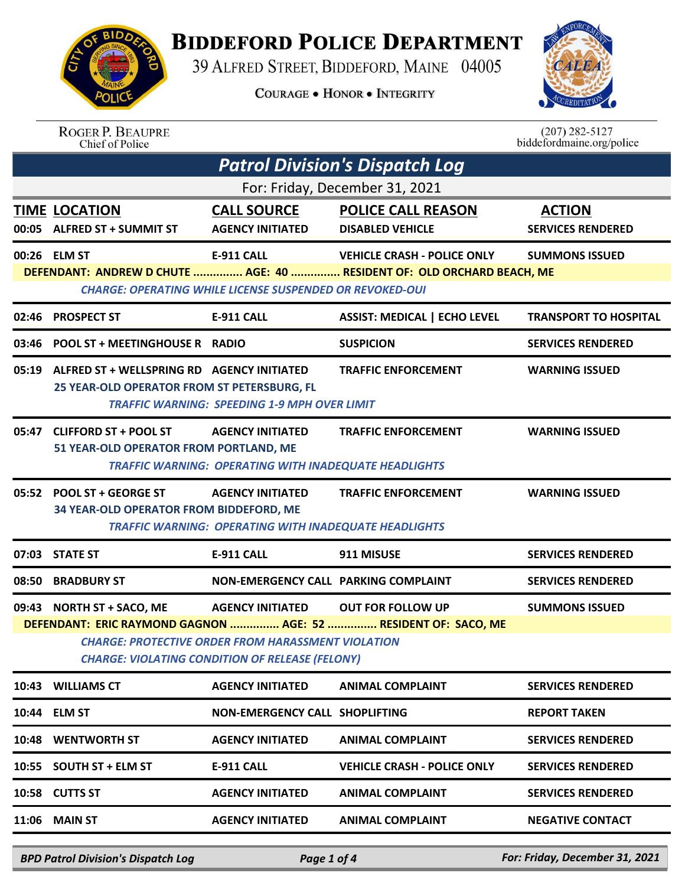

## **BIDDEFORD POLICE DEPARTMENT**

39 ALFRED STREET, BIDDEFORD, MAINE 04005

**COURAGE . HONOR . INTEGRITY** 



ROGER P. BEAUPRE<br>Chief of Police

 $(207)$  282-5127 biddefordmaine.org/police

| <b>Patrol Division's Dispatch Log</b>                                                                                                                                                                                                                                          |                                                                                                 |                                                                                         |                                                                                                              |                                           |  |
|--------------------------------------------------------------------------------------------------------------------------------------------------------------------------------------------------------------------------------------------------------------------------------|-------------------------------------------------------------------------------------------------|-----------------------------------------------------------------------------------------|--------------------------------------------------------------------------------------------------------------|-------------------------------------------|--|
| For: Friday, December 31, 2021                                                                                                                                                                                                                                                 |                                                                                                 |                                                                                         |                                                                                                              |                                           |  |
|                                                                                                                                                                                                                                                                                | <b>TIME LOCATION</b><br>00:05 ALFRED ST + SUMMIT ST                                             | <b>CALL SOURCE</b><br><b>AGENCY INITIATED</b>                                           | <b>POLICE CALL REASON</b><br><b>DISABLED VEHICLE</b>                                                         | <b>ACTION</b><br><b>SERVICES RENDERED</b> |  |
|                                                                                                                                                                                                                                                                                | 00:26 ELM ST                                                                                    | <b>E-911 CALL</b><br><b>CHARGE: OPERATING WHILE LICENSE SUSPENDED OR REVOKED-OUI</b>    | <b>VEHICLE CRASH - POLICE ONLY</b><br>DEFENDANT: ANDREW D CHUTE  AGE: 40  RESIDENT OF: OLD ORCHARD BEACH, ME | <b>SUMMONS ISSUED</b>                     |  |
| 02:46                                                                                                                                                                                                                                                                          | <b>PROSPECT ST</b>                                                                              | <b>E-911 CALL</b>                                                                       | <b>ASSIST: MEDICAL   ECHO LEVEL</b>                                                                          | <b>TRANSPORT TO HOSPITAL</b>              |  |
|                                                                                                                                                                                                                                                                                | 03:46 POOL ST + MEETINGHOUSE R RADIO                                                            |                                                                                         | <b>SUSPICION</b>                                                                                             | <b>SERVICES RENDERED</b>                  |  |
|                                                                                                                                                                                                                                                                                | 05:19 ALFRED ST + WELLSPRING RD AGENCY INITIATED<br>25 YEAR-OLD OPERATOR FROM ST PETERSBURG, FL | <b>TRAFFIC WARNING: SPEEDING 1-9 MPH OVER LIMIT</b>                                     | <b>TRAFFIC ENFORCEMENT</b>                                                                                   | <b>WARNING ISSUED</b>                     |  |
|                                                                                                                                                                                                                                                                                | 05:47 CLIFFORD ST + POOL ST<br>51 YEAR-OLD OPERATOR FROM PORTLAND, ME                           | <b>AGENCY INITIATED</b><br><b>TRAFFIC WARNING: OPERATING WITH INADEQUATE HEADLIGHTS</b> | <b>TRAFFIC ENFORCEMENT</b>                                                                                   | <b>WARNING ISSUED</b>                     |  |
|                                                                                                                                                                                                                                                                                | 05:52 POOL ST + GEORGE ST<br>34 YEAR-OLD OPERATOR FROM BIDDEFORD, ME                            | <b>AGENCY INITIATED</b><br><b>TRAFFIC WARNING: OPERATING WITH INADEQUATE HEADLIGHTS</b> | <b>TRAFFIC ENFORCEMENT</b>                                                                                   | <b>WARNING ISSUED</b>                     |  |
|                                                                                                                                                                                                                                                                                | 07:03 STATE ST                                                                                  | <b>E-911 CALL</b>                                                                       | 911 MISUSE                                                                                                   | <b>SERVICES RENDERED</b>                  |  |
|                                                                                                                                                                                                                                                                                | 08:50 BRADBURY ST                                                                               | NON-EMERGENCY CALL PARKING COMPLAINT                                                    |                                                                                                              | <b>SERVICES RENDERED</b>                  |  |
| 09:43 NORTH ST + SACO, ME AGENCY INITIATED OUT FOR FOLLOW UP<br><b>SUMMONS ISSUED</b><br>DEFENDANT: ERIC RAYMOND GAGNON  AGE: 52  RESIDENT OF: SACO, ME<br><b>CHARGE: PROTECTIVE ORDER FROM HARASSMENT VIOLATION</b><br><b>CHARGE: VIOLATING CONDITION OF RELEASE (FELONY)</b> |                                                                                                 |                                                                                         |                                                                                                              |                                           |  |
|                                                                                                                                                                                                                                                                                | 10:43 WILLIAMS CT                                                                               | <b>AGENCY INITIATED</b>                                                                 | <b>ANIMAL COMPLAINT</b>                                                                                      | <b>SERVICES RENDERED</b>                  |  |
|                                                                                                                                                                                                                                                                                | 10:44 ELM ST                                                                                    | NON-EMERGENCY CALL SHOPLIFTING                                                          |                                                                                                              | <b>REPORT TAKEN</b>                       |  |
|                                                                                                                                                                                                                                                                                | 10:48 WENTWORTH ST                                                                              | <b>AGENCY INITIATED</b>                                                                 | <b>ANIMAL COMPLAINT</b>                                                                                      | <b>SERVICES RENDERED</b>                  |  |
|                                                                                                                                                                                                                                                                                | 10:55 SOUTH ST + ELM ST                                                                         | <b>E-911 CALL</b>                                                                       | <b>VEHICLE CRASH - POLICE ONLY</b>                                                                           | <b>SERVICES RENDERED</b>                  |  |
|                                                                                                                                                                                                                                                                                | 10:58 CUTTS ST                                                                                  | <b>AGENCY INITIATED</b>                                                                 | <b>ANIMAL COMPLAINT</b>                                                                                      | <b>SERVICES RENDERED</b>                  |  |
|                                                                                                                                                                                                                                                                                | <b>11:06 MAIN ST</b>                                                                            | <b>AGENCY INITIATED</b>                                                                 | <b>ANIMAL COMPLAINT</b>                                                                                      | <b>NEGATIVE CONTACT</b>                   |  |

*BPD Patrol Division's Dispatch Log Page 1 of 4 For: Friday, December 31, 2021*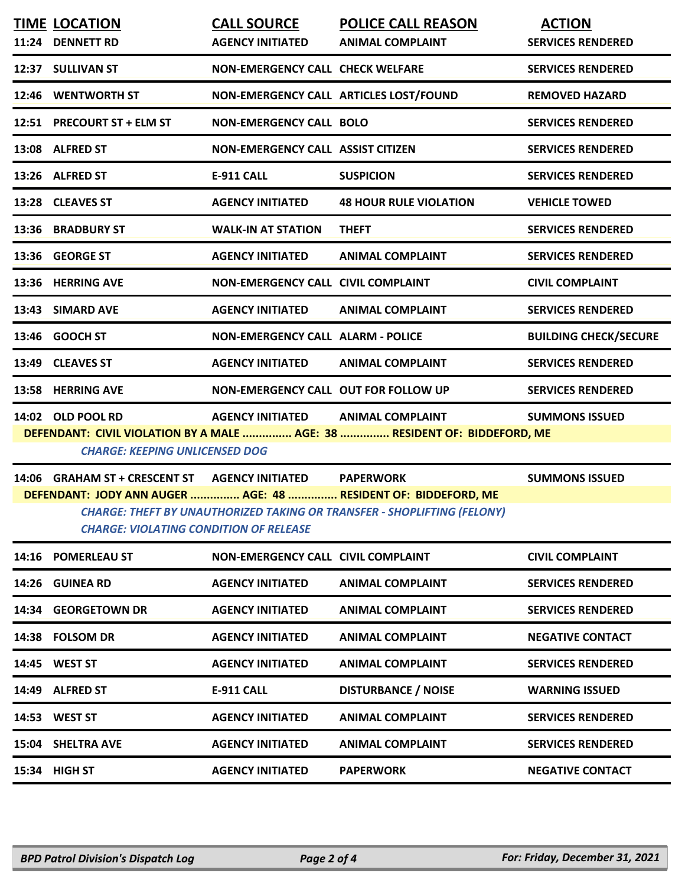| <b>TIME LOCATION</b>                                                      | <b>CALL SOURCE</b>                          | <b>POLICE CALL REASON</b>     | <b>ACTION</b>                |
|---------------------------------------------------------------------------|---------------------------------------------|-------------------------------|------------------------------|
| 11:24 DENNETT RD                                                          | <b>AGENCY INITIATED</b>                     | <b>ANIMAL COMPLAINT</b>       | <b>SERVICES RENDERED</b>     |
| 12:37 SULLIVAN ST                                                         | <b>NON-EMERGENCY CALL CHECK WELFARE</b>     |                               | <b>SERVICES RENDERED</b>     |
| 12:46 WENTWORTH ST                                                        | NON-EMERGENCY CALL ARTICLES LOST/FOUND      |                               | <b>REMOVED HAZARD</b>        |
| 12:51 PRECOURT ST + ELM ST                                                | <b>NON-EMERGENCY CALL BOLO</b>              |                               | <b>SERVICES RENDERED</b>     |
| 13:08 ALFRED ST                                                           | <b>NON-EMERGENCY CALL ASSIST CITIZEN</b>    |                               | <b>SERVICES RENDERED</b>     |
| 13:26 ALFRED ST                                                           | <b>E-911 CALL</b>                           | <b>SUSPICION</b>              | <b>SERVICES RENDERED</b>     |
| 13:28 CLEAVES ST                                                          | <b>AGENCY INITIATED</b>                     | <b>48 HOUR RULE VIOLATION</b> | <b>VEHICLE TOWED</b>         |
| 13:36 BRADBURY ST                                                         | <b>WALK-IN AT STATION</b>                   | <b>THEFT</b>                  | <b>SERVICES RENDERED</b>     |
| 13:36 GEORGE ST                                                           | <b>AGENCY INITIATED</b>                     | <b>ANIMAL COMPLAINT</b>       | <b>SERVICES RENDERED</b>     |
| 13:36 HERRING AVE                                                         | <b>NON-EMERGENCY CALL CIVIL COMPLAINT</b>   |                               | <b>CIVIL COMPLAINT</b>       |
| 13:43 SIMARD AVE                                                          | <b>AGENCY INITIATED</b>                     | <b>ANIMAL COMPLAINT</b>       | <b>SERVICES RENDERED</b>     |
| 13:46 GOOCH ST                                                            | <b>NON-EMERGENCY CALL ALARM - POLICE</b>    |                               | <b>BUILDING CHECK/SECURE</b> |
| 13:49 CLEAVES ST                                                          | <b>AGENCY INITIATED</b>                     | <b>ANIMAL COMPLAINT</b>       | <b>SERVICES RENDERED</b>     |
| 13:58 HERRING AVE                                                         | <b>NON-EMERGENCY CALL OUT FOR FOLLOW UP</b> |                               | <b>SERVICES RENDERED</b>     |
| 14:02 OLD POOL RD                                                         | <b>AGENCY INITIATED</b>                     | <b>ANIMAL COMPLAINT</b>       | <b>SUMMONS ISSUED</b>        |
| DEFENDANT: CIVIL VIOLATION BY A MALE  AGE: 38  RESIDENT OF: BIDDEFORD, ME |                                             |                               |                              |
| <b>CHARGE: KEEPING UNLICENSED DOG</b>                                     |                                             |                               |                              |

**14:06 GRAHAM ST + CRESCENT ST AGENCY INITIATED PAPERWORK SUMMONS ISSUED DEFENDANT: JODY ANN AUGER ............... AGE: 48 ............... RESIDENT OF: BIDDEFORD, ME** *CHARGE: THEFT BY UNAUTHORIZED TAKING OR TRANSFER - SHOPLIFTING (FELONY) CHARGE: VIOLATING CONDITION OF RELEASE* 

|       | 14:16 POMERLEAU ST   | <b>NON-EMERGENCY CALL CIVIL COMPLAINT</b> |                            | <b>CIVIL COMPLAINT</b>   |
|-------|----------------------|-------------------------------------------|----------------------------|--------------------------|
| 14:26 | <b>GUINEA RD</b>     | <b>AGENCY INITIATED</b>                   | <b>ANIMAL COMPLAINT</b>    | <b>SERVICES RENDERED</b> |
| 14:34 | <b>GEORGETOWN DR</b> | <b>AGENCY INITIATED</b>                   | <b>ANIMAL COMPLAINT</b>    | <b>SERVICES RENDERED</b> |
|       | 14:38 FOLSOM DR      | <b>AGENCY INITIATED</b>                   | <b>ANIMAL COMPLAINT</b>    | <b>NEGATIVE CONTACT</b>  |
| 14:45 | <b>WEST ST</b>       | <b>AGENCY INITIATED</b>                   | <b>ANIMAL COMPLAINT</b>    | <b>SERVICES RENDERED</b> |
| 14:49 | <b>ALFRED ST</b>     | <b>E-911 CALL</b>                         | <b>DISTURBANCE / NOISE</b> | <b>WARNING ISSUED</b>    |
| 14:53 | <b>WEST ST</b>       | <b>AGENCY INITIATED</b>                   | <b>ANIMAL COMPLAINT</b>    | <b>SERVICES RENDERED</b> |
|       | 15:04 SHELTRA AVE    | <b>AGENCY INITIATED</b>                   | <b>ANIMAL COMPLAINT</b>    | <b>SERVICES RENDERED</b> |
| 15:34 | <b>HIGH ST</b>       | <b>AGENCY INITIATED</b>                   | <b>PAPERWORK</b>           | <b>NEGATIVE CONTACT</b>  |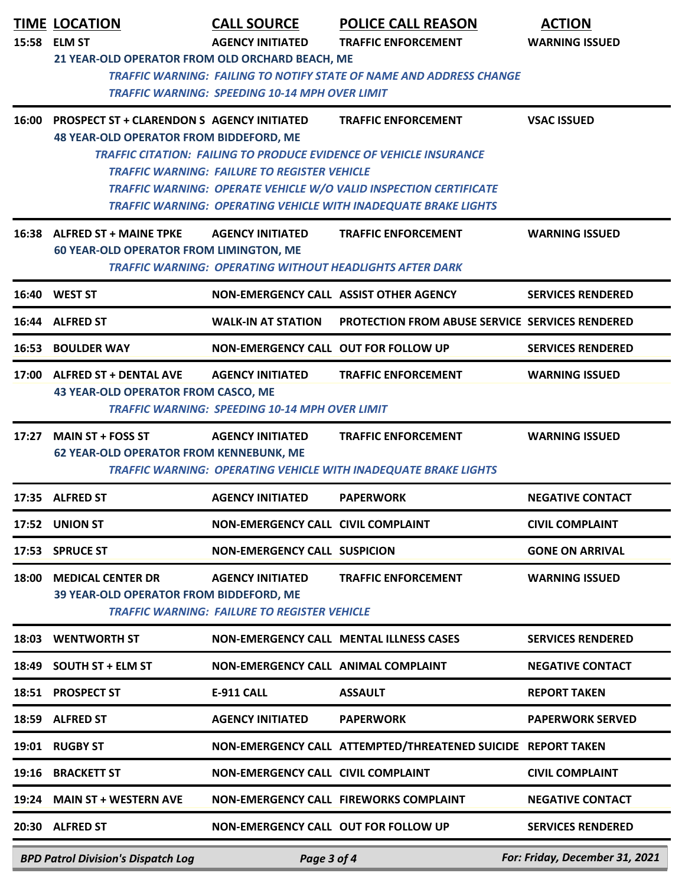|       | <b>TIME LOCATION</b><br>15:58 ELM ST                                                               | <b>CALL SOURCE</b><br><b>AGENCY INITIATED</b>                                    | <b>POLICE CALL REASON</b><br><b>TRAFFIC ENFORCEMENT</b>                                                                                                                                                                                         | <b>ACTION</b><br><b>WARNING ISSUED</b> |
|-------|----------------------------------------------------------------------------------------------------|----------------------------------------------------------------------------------|-------------------------------------------------------------------------------------------------------------------------------------------------------------------------------------------------------------------------------------------------|----------------------------------------|
|       | 21 YEAR-OLD OPERATOR FROM OLD ORCHARD BEACH, ME                                                    | <b>TRAFFIC WARNING: SPEEDING 10-14 MPH OVER LIMIT</b>                            | <b>TRAFFIC WARNING: FAILING TO NOTIFY STATE OF NAME AND ADDRESS CHANGE</b>                                                                                                                                                                      |                                        |
|       | 16:00 PROSPECT ST + CLARENDON S AGENCY INITIATED<br><b>48 YEAR-OLD OPERATOR FROM BIDDEFORD, ME</b> | <b>TRAFFIC WARNING: FAILURE TO REGISTER VEHICLE</b>                              | <b>TRAFFIC ENFORCEMENT</b><br>TRAFFIC CITATION: FAILING TO PRODUCE EVIDENCE OF VEHICLE INSURANCE<br>TRAFFIC WARNING: OPERATE VEHICLE W/O VALID INSPECTION CERTIFICATE<br><b>TRAFFIC WARNING: OPERATING VEHICLE WITH INADEQUATE BRAKE LIGHTS</b> | <b>VSAC ISSUED</b>                     |
|       | 16:38 ALFRED ST + MAINE TPKE<br><b>60 YEAR-OLD OPERATOR FROM LIMINGTON, ME</b>                     | <b>AGENCY INITIATED</b>                                                          | <b>TRAFFIC ENFORCEMENT</b><br><b>TRAFFIC WARNING: OPERATING WITHOUT HEADLIGHTS AFTER DARK</b>                                                                                                                                                   | <b>WARNING ISSUED</b>                  |
|       | 16:40 WEST ST                                                                                      |                                                                                  | NON-EMERGENCY CALL ASSIST OTHER AGENCY                                                                                                                                                                                                          | <b>SERVICES RENDERED</b>               |
|       | 16:44 ALFRED ST                                                                                    | <b>WALK-IN AT STATION</b>                                                        | <b>PROTECTION FROM ABUSE SERVICE SERVICES RENDERED</b>                                                                                                                                                                                          |                                        |
|       | <b>16:53 BOULDER WAY</b>                                                                           | NON-EMERGENCY CALL OUT FOR FOLLOW UP                                             |                                                                                                                                                                                                                                                 | <b>SERVICES RENDERED</b>               |
|       | 17:00 ALFRED ST + DENTAL AVE<br><b>43 YEAR-OLD OPERATOR FROM CASCO, ME</b>                         | <b>AGENCY INITIATED</b><br><b>TRAFFIC WARNING: SPEEDING 10-14 MPH OVER LIMIT</b> | <b>TRAFFIC ENFORCEMENT</b>                                                                                                                                                                                                                      | <b>WARNING ISSUED</b>                  |
|       | 17:27 MAIN ST + FOSS ST<br><b>62 YEAR-OLD OPERATOR FROM KENNEBUNK, ME</b>                          | <b>AGENCY INITIATED</b>                                                          | <b>TRAFFIC ENFORCEMENT</b><br><b>TRAFFIC WARNING: OPERATING VEHICLE WITH INADEQUATE BRAKE LIGHTS</b>                                                                                                                                            | <b>WARNING ISSUED</b>                  |
|       | 17:35 ALFRED ST                                                                                    | <b>AGENCY INITIATED</b>                                                          | <b>PAPERWORK</b>                                                                                                                                                                                                                                | <b>NEGATIVE CONTACT</b>                |
|       | 17:52 UNION ST                                                                                     | <b>NON-EMERGENCY CALL CIVIL COMPLAINT</b>                                        |                                                                                                                                                                                                                                                 | <b>CIVIL COMPLAINT</b>                 |
|       | 17:53 SPRUCE ST                                                                                    | <b>NON-EMERGENCY CALL SUSPICION</b>                                              |                                                                                                                                                                                                                                                 | <b>GONE ON ARRIVAL</b>                 |
| 18:00 | <b>MEDICAL CENTER DR</b><br>39 YEAR-OLD OPERATOR FROM BIDDEFORD, ME                                | <b>AGENCY INITIATED</b><br><b>TRAFFIC WARNING: FAILURE TO REGISTER VEHICLE</b>   | <b>TRAFFIC ENFORCEMENT</b>                                                                                                                                                                                                                      | <b>WARNING ISSUED</b>                  |
|       | 18:03 WENTWORTH ST                                                                                 |                                                                                  | <b>NON-EMERGENCY CALL MENTAL ILLNESS CASES</b>                                                                                                                                                                                                  | <b>SERVICES RENDERED</b>               |
|       | 18:49 SOUTH ST + ELM ST                                                                            | NON-EMERGENCY CALL ANIMAL COMPLAINT                                              |                                                                                                                                                                                                                                                 | <b>NEGATIVE CONTACT</b>                |
|       | 18:51 PROSPECT ST                                                                                  | <b>E-911 CALL</b>                                                                | <b>ASSAULT</b>                                                                                                                                                                                                                                  | <b>REPORT TAKEN</b>                    |
|       | 18:59 ALFRED ST                                                                                    | <b>AGENCY INITIATED</b>                                                          | <b>PAPERWORK</b>                                                                                                                                                                                                                                | <b>PAPERWORK SERVED</b>                |
|       | 19:01 RUGBY ST                                                                                     |                                                                                  | NON-EMERGENCY CALL ATTEMPTED/THREATENED SUICIDE REPORT TAKEN                                                                                                                                                                                    |                                        |
| 19:16 | <b>BRACKETT ST</b>                                                                                 | <b>NON-EMERGENCY CALL CIVIL COMPLAINT</b>                                        |                                                                                                                                                                                                                                                 | <b>CIVIL COMPLAINT</b>                 |
| 19:24 | <b>MAIN ST + WESTERN AVE</b>                                                                       |                                                                                  | NON-EMERGENCY CALL FIREWORKS COMPLAINT                                                                                                                                                                                                          | <b>NEGATIVE CONTACT</b>                |
|       | 20:30 ALFRED ST                                                                                    | <b>NON-EMERGENCY CALL OUT FOR FOLLOW UP</b>                                      |                                                                                                                                                                                                                                                 | <b>SERVICES RENDERED</b>               |
|       | <b>BPD Patrol Division's Dispatch Log</b>                                                          | Page 3 of 4                                                                      |                                                                                                                                                                                                                                                 | For: Friday, December 31, 2021         |